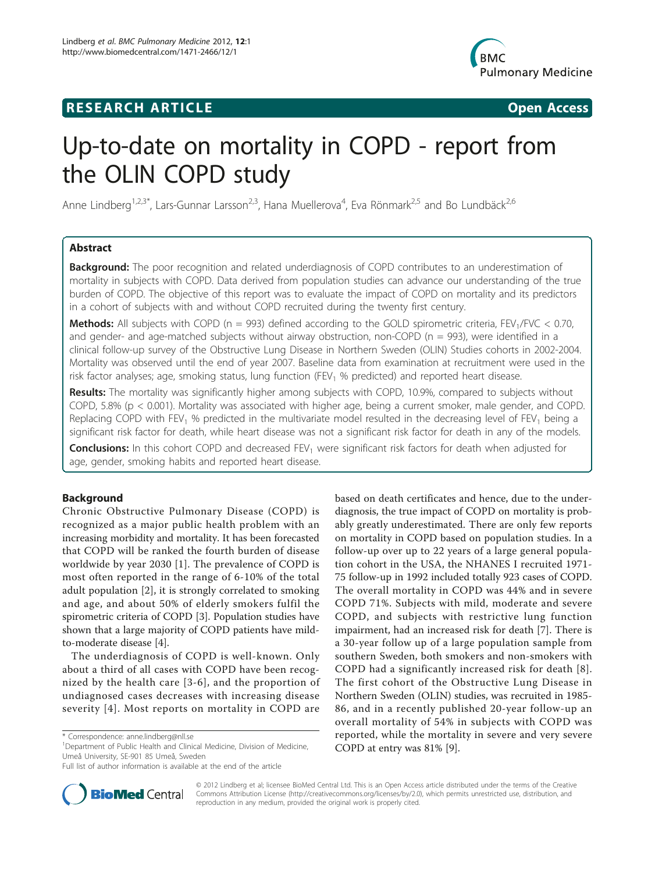# **RESEARCH ARTICLE Example 2018 Open Access**



# Up-to-date on mortality in COPD - report from the OLIN COPD study

Anne Lindberg<sup>1,2,3\*</sup>, Lars-Gunnar Larsson<sup>2,3</sup>, Hana Muellerova<sup>4</sup>, Eva Rönmark<sup>2,5</sup> and Bo Lundbäck<sup>2,6</sup>

# Abstract

**Background:** The poor recognition and related underdiagnosis of COPD contributes to an underestimation of mortality in subjects with COPD. Data derived from population studies can advance our understanding of the true burden of COPD. The objective of this report was to evaluate the impact of COPD on mortality and its predictors in a cohort of subjects with and without COPD recruited during the twenty first century.

**Methods:** All subjects with COPD ( $n = 993$ ) defined according to the GOLD spirometric criteria, FEV<sub>1</sub>/FVC < 0.70, and gender- and age-matched subjects without airway obstruction, non-COPD ( $n = 993$ ), were identified in a clinical follow-up survey of the Obstructive Lung Disease in Northern Sweden (OLIN) Studies cohorts in 2002-2004. Mortality was observed until the end of year 2007. Baseline data from examination at recruitment were used in the risk factor analyses; age, smoking status, lung function (FEV<sub>1</sub> % predicted) and reported heart disease.

Results: The mortality was significantly higher among subjects with COPD, 10.9%, compared to subjects without COPD, 5.8% (p < 0.001). Mortality was associated with higher age, being a current smoker, male gender, and COPD. Replacing COPD with FEV<sub>1</sub> % predicted in the multivariate model resulted in the decreasing level of FEV<sub>1</sub> being a significant risk factor for death, while heart disease was not a significant risk factor for death in any of the models.

**Conclusions:** In this cohort COPD and decreased FEV<sub>1</sub> were significant risk factors for death when adjusted for age, gender, smoking habits and reported heart disease.

# Background

Chronic Obstructive Pulmonary Disease (COPD) is recognized as a major public health problem with an increasing morbidity and mortality. It has been forecasted that COPD will be ranked the fourth burden of disease worldwide by year 2030 [\[1](#page-5-0)]. The prevalence of COPD is most often reported in the range of 6-10% of the total adult population [[2\]](#page-5-0), it is strongly correlated to smoking and age, and about 50% of elderly smokers fulfil the spirometric criteria of COPD [\[3](#page-5-0)]. Population studies have shown that a large majority of COPD patients have mildto-moderate disease [[4\]](#page-5-0).

The underdiagnosis of COPD is well-known. Only about a third of all cases with COPD have been recognized by the health care [[3-6\]](#page-5-0), and the proportion of undiagnosed cases decreases with increasing disease severity [[4](#page-5-0)]. Most reports on mortality in COPD are

<sup>1</sup>Department of Public Health and Clinical Medicine, Division of Medicine, Umeå University, SE-901 85 Umeå, Sweden

based on death certificates and hence, due to the underdiagnosis, the true impact of COPD on mortality is probably greatly underestimated. There are only few reports on mortality in COPD based on population studies. In a follow-up over up to 22 years of a large general population cohort in the USA, the NHANES I recruited 1971- 75 follow-up in 1992 included totally 923 cases of COPD. The overall mortality in COPD was 44% and in severe COPD 71%. Subjects with mild, moderate and severe COPD, and subjects with restrictive lung function impairment, had an increased risk for death [[7\]](#page-5-0). There is a 30-year follow up of a large population sample from southern Sweden, both smokers and non-smokers with COPD had a significantly increased risk for death [[8\]](#page-5-0). The first cohort of the Obstructive Lung Disease in Northern Sweden (OLIN) studies, was recruited in 1985- 86, and in a recently published 20-year follow-up an overall mortality of 54% in subjects with COPD was reported, while the mortality in severe and very severe COPD at entry was 81% [\[9](#page-5-0)].



© 2012 Lindberg et al; licensee BioMed Central Ltd. This is an Open Access article distributed under the terms of the Creative Commons Attribution License [\(http://creativecommons.org/licenses/by/2.0](http://creativecommons.org/licenses/by/2.0)), which permits unrestricted use, distribution, and reproduction in any medium, provided the original work is properly cited.

<sup>\*</sup> Correspondence: [anne.lindberg@nll.se](mailto:anne.lindberg@nll.se)

Full list of author information is available at the end of the article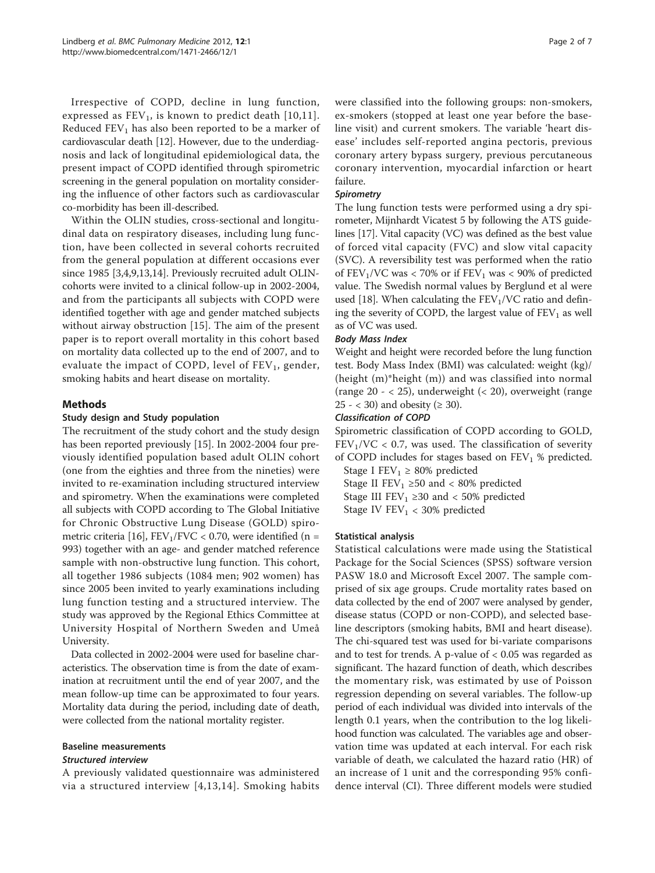Irrespective of COPD, decline in lung function, expressed as  $FEV_1$ , is known to predict death [[10](#page-6-0),[11\]](#page-6-0). Reduced  $FEV<sub>1</sub>$  has also been reported to be a marker of cardiovascular death [[12](#page-6-0)]. However, due to the underdiagnosis and lack of longitudinal epidemiological data, the present impact of COPD identified through spirometric screening in the general population on mortality considering the influence of other factors such as cardiovascular co-morbidity has been ill-described.

Within the OLIN studies, cross-sectional and longitudinal data on respiratory diseases, including lung function, have been collected in several cohorts recruited from the general population at different occasions ever since 1985 [\[3,4,9](#page-5-0)[,13,14](#page-6-0)]. Previously recruited adult OLINcohorts were invited to a clinical follow-up in 2002-2004, and from the participants all subjects with COPD were identified together with age and gender matched subjects without airway obstruction [[15](#page-6-0)]. The aim of the present paper is to report overall mortality in this cohort based on mortality data collected up to the end of 2007, and to evaluate the impact of COPD, level of  $FEV<sub>1</sub>$ , gender, smoking habits and heart disease on mortality.

# Methods

# Study design and Study population

The recruitment of the study cohort and the study design has been reported previously [\[15](#page-6-0)]. In 2002-2004 four previously identified population based adult OLIN cohort (one from the eighties and three from the nineties) were invited to re-examination including structured interview and spirometry. When the examinations were completed all subjects with COPD according to The Global Initiative for Chronic Obstructive Lung Disease (GOLD) spiro-metric criteria [\[16](#page-6-0)],  $FEV<sub>1</sub>/FVC < 0.70$ , were identified (n = 993) together with an age- and gender matched reference sample with non-obstructive lung function. This cohort, all together 1986 subjects (1084 men; 902 women) has since 2005 been invited to yearly examinations including lung function testing and a structured interview. The study was approved by the Regional Ethics Committee at University Hospital of Northern Sweden and Umeå University.

Data collected in 2002-2004 were used for baseline characteristics. The observation time is from the date of examination at recruitment until the end of year 2007, and the mean follow-up time can be approximated to four years. Mortality data during the period, including date of death, were collected from the national mortality register.

# Baseline measurements

# Structured interview

A previously validated questionnaire was administered via a structured interview [[4](#page-5-0),[13,14\]](#page-6-0). Smoking habits were classified into the following groups: non-smokers, ex-smokers (stopped at least one year before the baseline visit) and current smokers. The variable 'heart disease' includes self-reported angina pectoris, previous coronary artery bypass surgery, previous percutaneous coronary intervention, myocardial infarction or heart failure.

# **Spirometry**

The lung function tests were performed using a dry spirometer, Mijnhardt Vicatest 5 by following the ATS guidelines [[17](#page-6-0)]. Vital capacity (VC) was defined as the best value of forced vital capacity (FVC) and slow vital capacity (SVC). A reversibility test was performed when the ratio of  $FEV<sub>1</sub>/VC$  was < 70% or if  $FEV<sub>1</sub>$  was < 90% of predicted value. The Swedish normal values by Berglund et al were used [\[18\]](#page-6-0). When calculating the  $FEV<sub>1</sub>/VC$  ratio and defining the severity of COPD, the largest value of  $FEV<sub>1</sub>$  as well as of VC was used.

# Body Mass Index

Weight and height were recorded before the lung function test. Body Mass Index (BMI) was calculated: weight (kg)/ (height (m)\*height (m)) and was classified into normal (range 20 - < 25), underweight (< 20), overweight (range 25 -  $\langle 30 \rangle$  and obesity ( $\geq 30$ ).

# Classification of COPD

Spirometric classification of COPD according to GOLD,  $FEV<sub>1</sub>/VC < 0.7$ , was used. The classification of severity of COPD includes for stages based on  $FEV<sub>1</sub>$  % predicted.

- Stage I  $FEV_1 \geq 80\%$  predicted
- Stage II  $FEV<sub>1</sub> ≥ 50$  and < 80% predicted
- Stage III FEV<sub>1</sub>  $\geq$ 30 and < 50% predicted
- Stage IV  $FEV_1 < 30\%$  predicted

# Statistical analysis

Statistical calculations were made using the Statistical Package for the Social Sciences (SPSS) software version PASW 18.0 and Microsoft Excel 2007. The sample comprised of six age groups. Crude mortality rates based on data collected by the end of 2007 were analysed by gender, disease status (COPD or non-COPD), and selected baseline descriptors (smoking habits, BMI and heart disease). The chi-squared test was used for bi-variate comparisons and to test for trends. A p-value of < 0.05 was regarded as significant. The hazard function of death, which describes the momentary risk, was estimated by use of Poisson regression depending on several variables. The follow-up period of each individual was divided into intervals of the length 0.1 years, when the contribution to the log likelihood function was calculated. The variables age and observation time was updated at each interval. For each risk variable of death, we calculated the hazard ratio (HR) of an increase of 1 unit and the corresponding 95% confidence interval (CI). Three different models were studied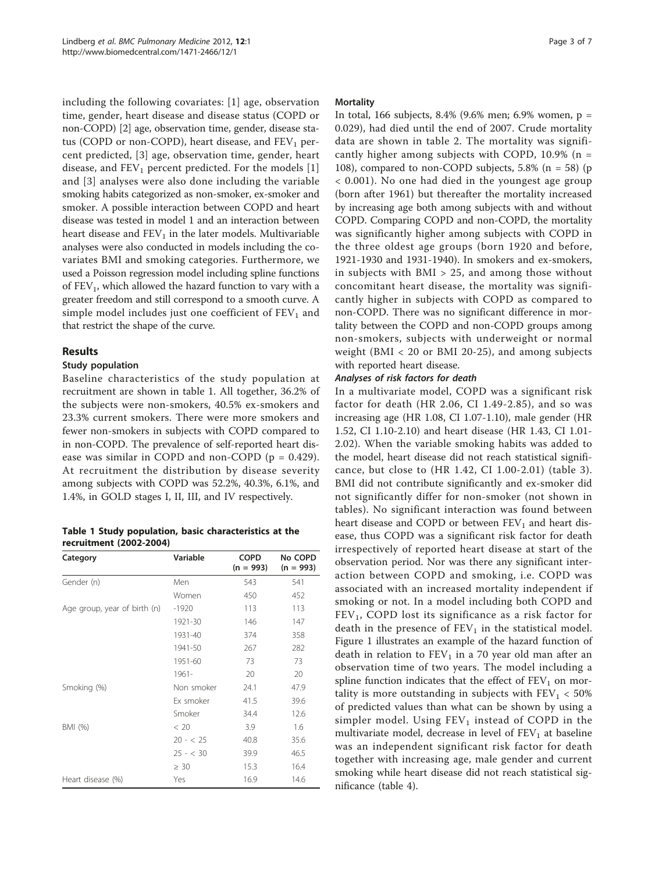including the following covariates: [[1](#page-5-0)] age, observation time, gender, heart disease and disease status (COPD or non-COPD) [[2](#page-5-0)] age, observation time, gender, disease status (COPD or non-COPD), heart disease, and  $FEV<sub>1</sub>$  percent predicted, [[3\]](#page-5-0) age, observation time, gender, heart disease, and  $FEV_1$  percent predicted. For the models [\[1](#page-5-0)] and [[3](#page-5-0)] analyses were also done including the variable smoking habits categorized as non-smoker, ex-smoker and smoker. A possible interaction between COPD and heart disease was tested in model 1 and an interaction between heart disease and  $FEV<sub>1</sub>$  in the later models. Multivariable analyses were also conducted in models including the covariates BMI and smoking categories. Furthermore, we used a Poisson regression model including spline functions of  $FEV<sub>1</sub>$ , which allowed the hazard function to vary with a greater freedom and still correspond to a smooth curve. A simple model includes just one coefficient of  $FEV<sub>1</sub>$  and that restrict the shape of the curve.

# Results

# Study population

Baseline characteristics of the study population at recruitment are shown in table 1. All together, 36.2% of the subjects were non-smokers, 40.5% ex-smokers and 23.3% current smokers. There were more smokers and fewer non-smokers in subjects with COPD compared to in non-COPD. The prevalence of self-reported heart disease was similar in COPD and non-COPD ( $p = 0.429$ ). At recruitment the distribution by disease severity among subjects with COPD was 52.2%, 40.3%, 6.1%, and 1.4%, in GOLD stages I, II, III, and IV respectively.

Table 1 Study population, basic characteristics at the recruitment (2002-2004)

| Category                     | Variable    | <b>COPD</b><br>$(n = 993)$ | No COPD<br>$(n = 993)$ |
|------------------------------|-------------|----------------------------|------------------------|
| Gender (n)                   | Men         | 543                        | 541                    |
|                              | Women       | 450                        | 452                    |
| Age group, year of birth (n) | $-1920$     | 113                        | 113                    |
|                              | 1921-30     | 146                        | 147                    |
|                              | 1931-40     | 374                        | 358                    |
|                              | 1941-50     | 267                        | 282                    |
|                              | 1951-60     | 73                         | 73                     |
|                              | $1961 -$    | 20                         | 20                     |
| Smoking (%)                  | Non smoker  | 24.1                       | 47.9                   |
|                              | Ex smoker   | 41.5                       | 39.6                   |
|                              | Smoker      | 34.4                       | 12.6                   |
| BMI (%)                      | < 20        | 3.9                        | 1.6                    |
|                              | $20 - 25$   | 40.8                       | 35.6                   |
|                              | $25 - < 30$ | 39.9                       | 46.5                   |
|                              | $\geq 30$   | 15.3                       | 16.4                   |
| Heart disease (%)            | Yes         | 16.9                       | 14.6                   |

#### **Mortality**

In total, 166 subjects, 8.4% (9.6% men; 6.9% women, p = 0.029), had died until the end of 2007. Crude mortality data are shown in table [2.](#page-3-0) The mortality was significantly higher among subjects with COPD, 10.9% (n = 108), compared to non-COPD subjects, 5.8% ( $n = 58$ ) (p < 0.001). No one had died in the youngest age group (born after 1961) but thereafter the mortality increased by increasing age both among subjects with and without COPD. Comparing COPD and non-COPD, the mortality was significantly higher among subjects with COPD in the three oldest age groups (born 1920 and before, 1921-1930 and 1931-1940). In smokers and ex-smokers, in subjects with  $BMI > 25$ , and among those without concomitant heart disease, the mortality was significantly higher in subjects with COPD as compared to non-COPD. There was no significant difference in mortality between the COPD and non-COPD groups among non-smokers, subjects with underweight or normal weight (BMI < 20 or BMI 20-25), and among subjects with reported heart disease.

# Analyses of risk factors for death

In a multivariate model, COPD was a significant risk factor for death (HR 2.06, CI 1.49-2.85), and so was increasing age (HR 1.08, CI 1.07-1.10), male gender (HR 1.52, CI 1.10-2.10) and heart disease (HR 1.43, CI 1.01- 2.02). When the variable smoking habits was added to the model, heart disease did not reach statistical significance, but close to (HR 1.42, CI 1.00-2.01) (table [3\)](#page-3-0). BMI did not contribute significantly and ex-smoker did not significantly differ for non-smoker (not shown in tables). No significant interaction was found between heart disease and COPD or between  $FEV<sub>1</sub>$  and heart disease, thus COPD was a significant risk factor for death irrespectively of reported heart disease at start of the observation period. Nor was there any significant interaction between COPD and smoking, i.e. COPD was associated with an increased mortality independent if smoking or not. In a model including both COPD and  $FEV<sub>1</sub>$ , COPD lost its significance as a risk factor for death in the presence of  $FEV<sub>1</sub>$  in the statistical model. Figure [1](#page-3-0) illustrates an example of the hazard function of death in relation to  $FEV<sub>1</sub>$  in a 70 year old man after an observation time of two years. The model including a spline function indicates that the effect of  $FEV<sub>1</sub>$  on mortality is more outstanding in subjects with  $FEV<sub>1</sub> < 50%$ of predicted values than what can be shown by using a simpler model. Using  $FEV_1$  instead of COPD in the multivariate model, decrease in level of  $FEV<sub>1</sub>$  at baseline was an independent significant risk factor for death together with increasing age, male gender and current smoking while heart disease did not reach statistical significance (table [4\)](#page-4-0).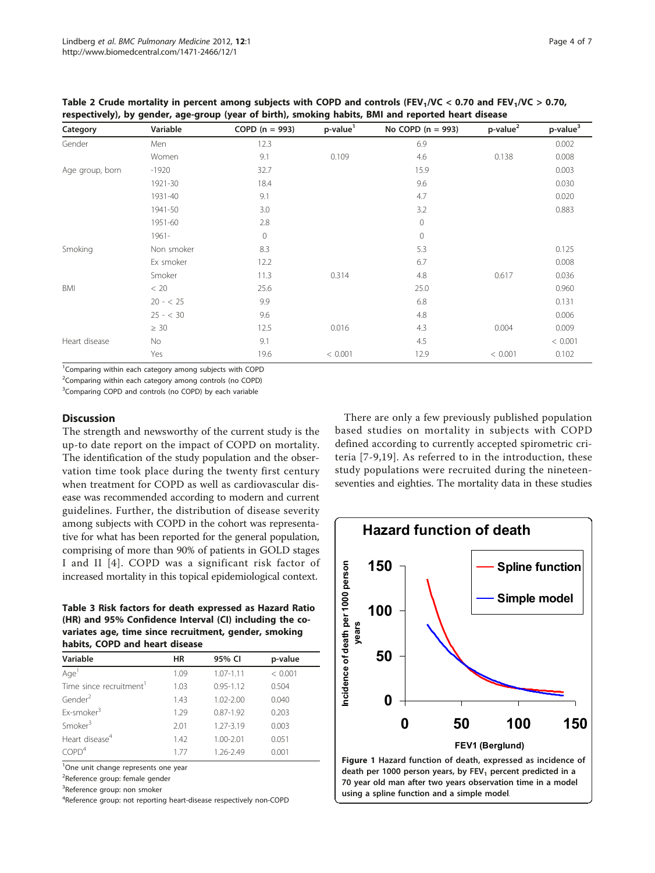<span id="page-3-0"></span>

| Table 2 Crude mortality in percent among subjects with COPD and controls (FEV <sub>1</sub> /VC < 0.70 and FEV <sub>1</sub> /VC > 0.70, |
|----------------------------------------------------------------------------------------------------------------------------------------|
| respectively), by gender, age-group (year of birth), smoking habits, BMI and reported heart disease                                    |

| Category        | Variable    | $COPD (n = 993)$ | p-value <sup>1</sup> | No COPD ( $n = 993$ ) | $p$ -value $^2$ | $p$ -value $3$ |
|-----------------|-------------|------------------|----------------------|-----------------------|-----------------|----------------|
| Gender          | Men         | 12.3             |                      | 6.9                   |                 | 0.002          |
|                 | Women       | 9.1              | 0.109                | 4.6                   | 0.138           | 0.008          |
| Age group, born | $-1920$     | 32.7             |                      | 15.9                  |                 | 0.003          |
|                 | 1921-30     | 18.4             |                      | 9.6                   |                 | 0.030          |
|                 | 1931-40     | 9.1              |                      | 4.7                   |                 | 0.020          |
|                 | 1941-50     | 3.0              |                      | 3.2                   |                 | 0.883          |
|                 | 1951-60     | 2.8              |                      | $\circ$               |                 |                |
|                 | 1961-       | $\mathbf 0$      |                      | $\circ$               |                 |                |
| Smoking         | Non smoker  | 8.3              |                      | 5.3                   |                 | 0.125          |
|                 | Ex smoker   | 12.2             |                      | 6.7                   |                 | 0.008          |
|                 | Smoker      | 11.3             | 0.314                | 4.8                   | 0.617           | 0.036          |
| BMI             | < 20        | 25.6             |                      | 25.0                  |                 | 0.960          |
|                 | $20 - 25$   | 9.9              |                      | 6.8                   |                 | 0.131          |
|                 | $25 - < 30$ | 9.6              |                      | 4.8                   |                 | 0.006          |
|                 | $\geq 30$   | 12.5             | 0.016                | 4.3                   | 0.004           | 0.009          |
| Heart disease   | No          | 9.1              |                      | 4.5                   |                 | < 0.001        |
|                 | Yes         | 19.6             | < 0.001              | 12.9                  | < 0.001         | 0.102          |

<sup>1</sup> Comparing within each category among subjects with COPD

<sup>2</sup> Comparing within each category among controls (no COPD)

<sup>3</sup> Comparing COPD and controls (no COPD) by each variable

#### **Discussion**

The strength and newsworthy of the current study is the up-to date report on the impact of COPD on mortality. The identification of the study population and the observation time took place during the twenty first century when treatment for COPD as well as cardiovascular disease was recommended according to modern and current guidelines. Further, the distribution of disease severity among subjects with COPD in the cohort was representative for what has been reported for the general population, comprising of more than 90% of patients in GOLD stages I and II [[4](#page-5-0)]. COPD was a significant risk factor of increased mortality in this topical epidemiological context.

Table 3 Risk factors for death expressed as Hazard Ratio (HR) and 95% Confidence Interval (CI) including the covariates age, time since recruitment, gender, smoking habits, COPD and heart disease

| Variable                            | HR   | 95% CI        | p-value |
|-------------------------------------|------|---------------|---------|
| Age <sup>1</sup>                    | 1.09 | $1.07 - 1.11$ | < 0.001 |
| Time since recruitment <sup>1</sup> | 1.03 | $0.95 - 1.12$ | 0.504   |
| Gender <sup>2</sup>                 | 1.43 | $1.02 - 2.00$ | 0.040   |
| Fx-smoker <sup>3</sup>              | 1.29 | $0.87 - 1.92$ | 0.203   |
| Smoker <sup>3</sup>                 | 2.01 | 1.27-3.19     | 0.003   |
| Heart disease <sup>4</sup>          | 1.42 | 1.00-2.01     | 0.051   |
| COPD <sup>4</sup>                   | 177  | 1.26-2.49     | 0.001   |
|                                     |      |               |         |

<sup>1</sup>One unit change represents one year

<sup>2</sup>Reference group: female gender

<sup>3</sup>Reference group: non smoker

<sup>4</sup>Reference group: not reporting heart-disease respectively non-COPD

There are only a few previously published population based studies on mortality in subjects with COPD defined according to currently accepted spirometric criteria [[7-9,](#page-5-0)[19](#page-6-0)]. As referred to in the introduction, these study populations were recruited during the nineteenseventies and eighties. The mortality data in these studies



using a spline function and a simple model.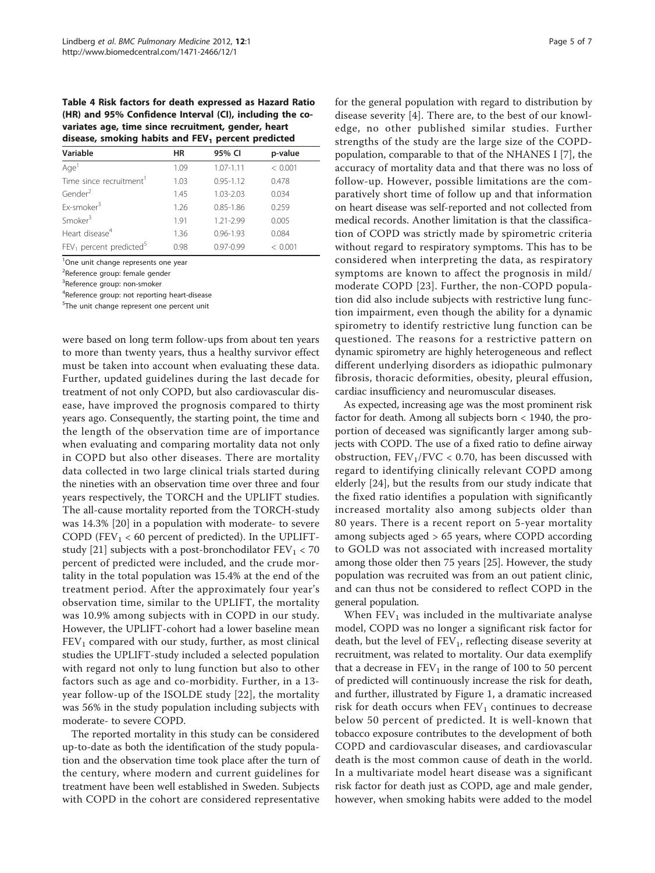<span id="page-4-0"></span>Table 4 Risk factors for death expressed as Hazard Ratio (HR) and 95% Confidence Interval (CI), including the covariates age, time since recruitment, gender, heart disease, smoking habits and  $FEV<sub>1</sub>$  percent predicted

| Variable                              | ΗR   | 95% CI        | p-value |
|---------------------------------------|------|---------------|---------|
| Aqe <sup>1</sup>                      | 1.09 | $1.07 - 1.11$ | < 0.001 |
| Time since recruitment <sup>1</sup>   | 1.03 | $0.95 - 1.12$ | 0.478   |
| Gender <sup>2</sup>                   | 1.45 | $1.03 - 2.03$ | 0.034   |
| Ex-smoker <sup>3</sup>                | 1.26 | $0.85 - 1.86$ | 0.259   |
| Smoker <sup>3</sup>                   | 1.91 | 1.21-2.99     | 0.005   |
| Heart disease <sup>4</sup>            | 1.36 | $0.96 - 1.93$ | 0.084   |
| $FEV1$ percent predicted <sup>5</sup> | 0.98 | $0.97 - 0.99$ | < 0.001 |

<sup>1</sup>One unit change represents one year

<sup>2</sup>Reference group: female gender

<sup>3</sup>Reference group: non-smoker

<sup>4</sup>Reference group: not reporting heart-disease

<sup>5</sup>The unit change represent one percent unit

were based on long term follow-ups from about ten years to more than twenty years, thus a healthy survivor effect must be taken into account when evaluating these data. Further, updated guidelines during the last decade for treatment of not only COPD, but also cardiovascular disease, have improved the prognosis compared to thirty years ago. Consequently, the starting point, the time and the length of the observation time are of importance when evaluating and comparing mortality data not only in COPD but also other diseases. There are mortality data collected in two large clinical trials started during the nineties with an observation time over three and four years respectively, the TORCH and the UPLIFT studies. The all-cause mortality reported from the TORCH-study was 14.3% [[20\]](#page-6-0) in a population with moderate- to severe COPD (FEV $_1$  < 60 percent of predicted). In the UPLIFT-study [[21\]](#page-6-0) subjects with a post-bronchodilator  $FEV_1 < 70$ percent of predicted were included, and the crude mortality in the total population was 15.4% at the end of the treatment period. After the approximately four year's observation time, similar to the UPLIFT, the mortality was 10.9% among subjects with in COPD in our study. However, the UPLIFT-cohort had a lower baseline mean  $FEV<sub>1</sub>$  compared with our study, further, as most clinical studies the UPLIFT-study included a selected population with regard not only to lung function but also to other factors such as age and co-morbidity. Further, in a 13 year follow-up of the ISOLDE study [\[22\]](#page-6-0), the mortality was 56% in the study population including subjects with moderate- to severe COPD.

The reported mortality in this study can be considered up-to-date as both the identification of the study population and the observation time took place after the turn of the century, where modern and current guidelines for treatment have been well established in Sweden. Subjects with COPD in the cohort are considered representative for the general population with regard to distribution by disease severity [[4\]](#page-5-0). There are, to the best of our knowledge, no other published similar studies. Further strengths of the study are the large size of the COPDpopulation, comparable to that of the NHANES I [[7\]](#page-5-0), the accuracy of mortality data and that there was no loss of follow-up. However, possible limitations are the comparatively short time of follow up and that information on heart disease was self-reported and not collected from medical records. Another limitation is that the classification of COPD was strictly made by spirometric criteria without regard to respiratory symptoms. This has to be considered when interpreting the data, as respiratory symptoms are known to affect the prognosis in mild/ moderate COPD [[23](#page-6-0)]. Further, the non-COPD population did also include subjects with restrictive lung function impairment, even though the ability for a dynamic spirometry to identify restrictive lung function can be questioned. The reasons for a restrictive pattern on dynamic spirometry are highly heterogeneous and reflect different underlying disorders as idiopathic pulmonary fibrosis, thoracic deformities, obesity, pleural effusion, cardiac insufficiency and neuromuscular diseases.

As expected, increasing age was the most prominent risk factor for death. Among all subjects born < 1940, the proportion of deceased was significantly larger among subjects with COPD. The use of a fixed ratio to define airway obstruction,  $FEV_1/FVC < 0.70$ , has been discussed with regard to identifying clinically relevant COPD among elderly [[24\]](#page-6-0), but the results from our study indicate that the fixed ratio identifies a population with significantly increased mortality also among subjects older than 80 years. There is a recent report on 5-year mortality among subjects aged > 65 years, where COPD according to GOLD was not associated with increased mortality among those older then 75 years [[25](#page-6-0)]. However, the study population was recruited was from an out patient clinic, and can thus not be considered to reflect COPD in the general population.

When  $FEV<sub>1</sub>$  was included in the multivariate analyse model, COPD was no longer a significant risk factor for death, but the level of  $FEV_1$ , reflecting disease severity at recruitment, was related to mortality. Our data exemplify that a decrease in  $FEV<sub>1</sub>$  in the range of 100 to 50 percent of predicted will continuously increase the risk for death, and further, illustrated by Figure [1,](#page-3-0) a dramatic increased risk for death occurs when  $FEV<sub>1</sub>$  continues to decrease below 50 percent of predicted. It is well-known that tobacco exposure contributes to the development of both COPD and cardiovascular diseases, and cardiovascular death is the most common cause of death in the world. In a multivariate model heart disease was a significant risk factor for death just as COPD, age and male gender, however, when smoking habits were added to the model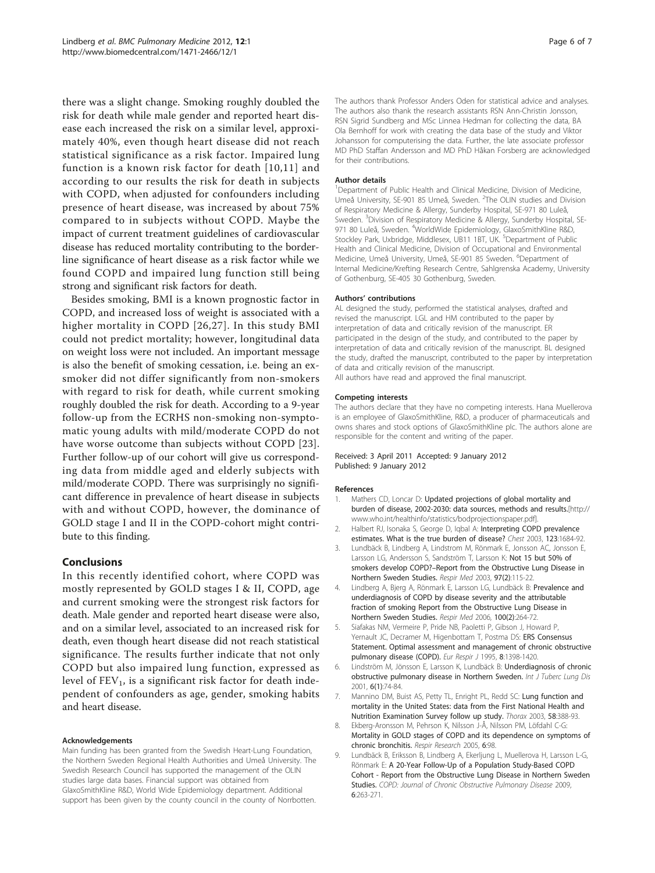<span id="page-5-0"></span>there was a slight change. Smoking roughly doubled the risk for death while male gender and reported heart disease each increased the risk on a similar level, approximately 40%, even though heart disease did not reach statistical significance as a risk factor. Impaired lung function is a known risk factor for death [[10,11](#page-6-0)] and according to our results the risk for death in subjects with COPD, when adjusted for confounders including presence of heart disease, was increased by about 75% compared to in subjects without COPD. Maybe the impact of current treatment guidelines of cardiovascular disease has reduced mortality contributing to the borderline significance of heart disease as a risk factor while we found COPD and impaired lung function still being strong and significant risk factors for death.

Besides smoking, BMI is a known prognostic factor in COPD, and increased loss of weight is associated with a higher mortality in COPD [[26,27](#page-6-0)]. In this study BMI could not predict mortality; however, longitudinal data on weight loss were not included. An important message is also the benefit of smoking cessation, i.e. being an exsmoker did not differ significantly from non-smokers with regard to risk for death, while current smoking roughly doubled the risk for death. According to a 9-year follow-up from the ECRHS non-smoking non-symptomatic young adults with mild/moderate COPD do not have worse outcome than subjects without COPD [[23](#page-6-0)]. Further follow-up of our cohort will give us corresponding data from middle aged and elderly subjects with mild/moderate COPD. There was surprisingly no significant difference in prevalence of heart disease in subjects with and without COPD, however, the dominance of GOLD stage I and II in the COPD-cohort might contribute to this finding.

# Conclusions

In this recently identified cohort, where COPD was mostly represented by GOLD stages I & II, COPD, age and current smoking were the strongest risk factors for death. Male gender and reported heart disease were also, and on a similar level, associated to an increased risk for death, even though heart disease did not reach statistical significance. The results further indicate that not only COPD but also impaired lung function, expressed as level of  $FEV_1$ , is a significant risk factor for death independent of confounders as age, gender, smoking habits and heart disease.

#### Acknowledgements

Main funding has been granted from the Swedish Heart-Lung Foundation, the Northern Sweden Regional Health Authorities and Umeå University. The Swedish Research Council has supported the management of the OLIN studies large data bases. Financial support was obtained from GlaxoSmithKline R&D, World Wide Epidemiology department. Additional support has been given by the county council in the county of Norrbotten. The authors thank Professor Anders Oden for statistical advice and analyses. The authors also thank the research assistants RSN Ann-Christin Jonsson, RSN Sigrid Sundberg and MSc Linnea Hedman for collecting the data, BA Ola Bernhoff for work with creating the data base of the study and Viktor Johansson for computerising the data. Further, the late associate professor MD PhD Staffan Andersson and MD PhD Håkan Forsberg are acknowledged for their contributions.

#### Author details

<sup>1</sup>Department of Public Health and Clinical Medicine, Division of Medicine Umeå University, SE-901 85 Umeå, Sweden. <sup>2</sup>The OLIN studies and Division of Respiratory Medicine & Allergy, Sunderby Hospital, SE-971 80 Luleå, Sweden. <sup>3</sup>Division of Respiratory Medicine & Allergy, Sunderby Hospital, SE-971 80 Luleå, Sweden. <sup>4</sup>WorldWide Epidemiology, GlaxoSmithKline R&D,<br>Stockley Park, Uxbridge, Middlesex, UB11 1BT, UK. <sup>5</sup>Department of Public Health and Clinical Medicine, Division of Occupational and Environmental Medicine, Umeå University, Umeå, SE-901 85 Sweden. <sup>6</sup>Department of Internal Medicine/Krefting Research Centre, Sahlgrenska Academy, University of Gothenburg, SE-405 30 Gothenburg, Sweden.

#### Authors' contributions

AL designed the study, performed the statistical analyses, drafted and revised the manuscript. LGL and HM contributed to the paper by interpretation of data and critically revision of the manuscript. ER participated in the design of the study, and contributed to the paper by interpretation of data and critically revision of the manuscript. BL designed the study, drafted the manuscript, contributed to the paper by interpretation of data and critically revision of the manuscript. All authors have read and approved the final manuscript.

#### Competing interests

The authors declare that they have no competing interests. Hana Muellerova is an employee of GlaxoSmithKline, R&D, a producer of pharmaceuticals and owns shares and stock options of GlaxoSmithKline plc. The authors alone are responsible for the content and writing of the paper.

#### Received: 3 April 2011 Accepted: 9 January 2012 Published: 9 January 2012

#### References

- Mathers CD, Loncar D: Updated projections of global mortality and burden of disease, 2002-2030: data sources, methods and results.[[http://](http://www.who.int/healthinfo/statistics/bodprojectionspaper.pdf) [www.who.int/healthinfo/statistics/bodprojectionspaper.pdf\]](http://www.who.int/healthinfo/statistics/bodprojectionspaper.pdf).
- 2. Halbert RJ, Isonaka S, George D, Iqbal A: [Interpreting COPD prevalence](http://www.ncbi.nlm.nih.gov/pubmed/12740290?dopt=Abstract) [estimates. What is the true burden of disease?](http://www.ncbi.nlm.nih.gov/pubmed/12740290?dopt=Abstract) Chest 2003, 123:1684-92.
- 3. Lundbäck B, Lindberg A, Lindstrom M, Rönmark E, Jonsson AC, Jonsson E, Larsson LG, Andersson S, Sandström T, Larsson K: [Not 15 but 50% of](http://www.ncbi.nlm.nih.gov/pubmed/12587960?dopt=Abstract) smokers develop COPD?–[Report from the Obstructive Lung Disease in](http://www.ncbi.nlm.nih.gov/pubmed/12587960?dopt=Abstract) [Northern Sweden Studies.](http://www.ncbi.nlm.nih.gov/pubmed/12587960?dopt=Abstract) Respir Med 2003, 97(2):115-22.
- 4. Lindberg A, Bjerg A, Rönmark E, Larsson LG, Lundbäck B: [Prevalence and](http://www.ncbi.nlm.nih.gov/pubmed/15975774?dopt=Abstract) [underdiagnosis of COPD by disease severity and the attributable](http://www.ncbi.nlm.nih.gov/pubmed/15975774?dopt=Abstract) [fraction of smoking Report from the Obstructive Lung Disease in](http://www.ncbi.nlm.nih.gov/pubmed/15975774?dopt=Abstract) [Northern Sweden Studies.](http://www.ncbi.nlm.nih.gov/pubmed/15975774?dopt=Abstract) Respir Med 2006, 100(2):264-72.
- 5. Siafakas NM, Vermeire P, Pride NB, Paoletti P, Gibson J, Howard P, Yernault JC, Decramer M, Higenbottam T, Postma DS: [ERS Consensus](http://www.ncbi.nlm.nih.gov/pubmed/7489808?dopt=Abstract) [Statement. Optimal assessment and management of chronic obstructive](http://www.ncbi.nlm.nih.gov/pubmed/7489808?dopt=Abstract) [pulmonary disease \(COPD\).](http://www.ncbi.nlm.nih.gov/pubmed/7489808?dopt=Abstract) Eur Respir J 1995, 8:1398-1420.
- 6. Lindström M, Jönsson E, Larsson K, Lundbäck B: Underdiagnosis of chronic obstructive pulmonary disease in Northern Sweden. Int J Tuberc Lung Dis 2001, 6(1):74-84.
- 7. Mannino DM, Buist AS, Petty TL, Enright PL, Redd SC: [Lung function and](http://www.ncbi.nlm.nih.gov/pubmed/12728157?dopt=Abstract) [mortality in the United States: data from the First National Health and](http://www.ncbi.nlm.nih.gov/pubmed/12728157?dopt=Abstract) [Nutrition Examination Survey follow up study.](http://www.ncbi.nlm.nih.gov/pubmed/12728157?dopt=Abstract) Thorax 2003, 58:388-93.
- 8. Ekberg-Aronsson M, Pehrson K, Nilsson J-Å, Nilsson PM, Löfdahl C-G: Mortality in GOLD stages of COPD and its dependence on symptoms of chronic bronchitis. Respir Research 2005, 6:98.
- 9. Lundbäck B, Eriksson B, Lindberg A, Ekerljung L, Muellerova H, Larsson L-G, Rönmark E: [A 20-Year Follow-Up of a Population Study-Based COPD](http://www.ncbi.nlm.nih.gov/pubmed/19811385?dopt=Abstract) [Cohort - Report from the Obstructive Lung Disease in Northern Sweden](http://www.ncbi.nlm.nih.gov/pubmed/19811385?dopt=Abstract) [Studies.](http://www.ncbi.nlm.nih.gov/pubmed/19811385?dopt=Abstract) COPD: Journal of Chronic Obstructive Pulmonary Disease 2009, 6:263-271.